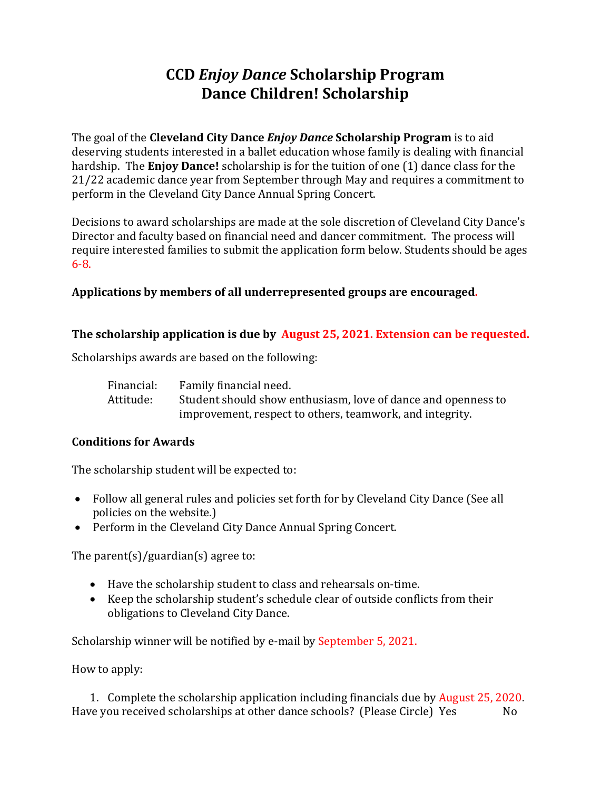# **CCD** *Enjoy Dance* **Scholarship Program Dance Children! Scholarship**

The goal of the **Cleveland City Dance** *Enjoy Dance* **Scholarship Program** is to aid deserving students interested in a ballet education whose family is dealing with financial hardship. The **Enjoy Dance!** scholarship is for the tuition of one (1) dance class for the 21/22 academic dance year from September through May and requires a commitment to perform in the Cleveland City Dance Annual Spring Concert.

Decisions to award scholarships are made at the sole discretion of Cleveland City Dance's Director and faculty based on financial need and dancer commitment. The process will require interested families to submit the application form below. Students should be ages 6-8.

### **Applications by members of all underrepresented groups are encouraged.**

### **The scholarship application is due by August 25, 2021. Extension can be requested.**

Scholarships awards are based on the following:

| Financial: | Family financial need.                                        |
|------------|---------------------------------------------------------------|
| Attitude:  | Student should show enthusiasm, love of dance and openness to |
|            | improvement, respect to others, teamwork, and integrity.      |

## **Conditions for Awards**

The scholarship student will be expected to:

- Follow all general rules and policies set forth for by Cleveland City Dance (See all policies on the website.)
- Perform in the Cleveland City Dance Annual Spring Concert.

The parent(s)/guardian(s) agree to:

- Have the scholarship student to class and rehearsals on-time.
- Keep the scholarship student's schedule clear of outside conflicts from their obligations to Cleveland City Dance.

Scholarship winner will be notified by e-mail by September 5, 2021.

How to apply:

1. Complete the scholarship application including financials due by August 25, 2020. Have you received scholarships at other dance schools? (Please Circle) Yes No